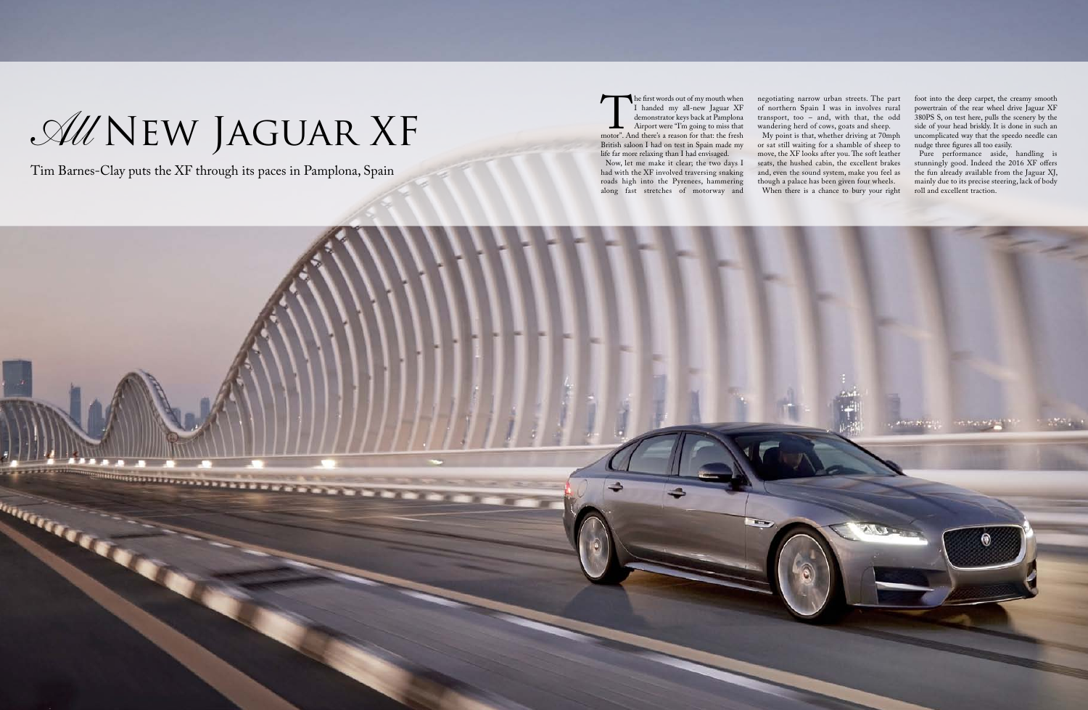The first words out of my mouth when<br>
I handed my all-new Jaguar XF<br>
demonstrator keys back at Pamplona<br>
Airport were "I'm going to miss that<br>
motor". And there's a reason for that: the fresh<br>
British saloon I had on test I handed my all-new Jaguar XF demonstrator keys back at Pamplona Airport were "I'm going to miss that motor". And there's a reason for that: the fresh British saloon I had on test in Spain made my life far more relaxing than I had envisaged.

Now, let me make it clear; the two days I had with the XF involved traversing snaking roads high into the Pyrenees, hammering along fast stretches of motorway and



negotiating narrow urban streets. The part of northern Spain I was in involves rural transport, too – and, with that, the odd wandering herd of cows, goats and sheep.

My point is that, whether driving at 70mph or sat still waiting for a shamble of sheep to move, the XF looks after you. The soft leather seats, the hushed cabin, the excellent brakes and, even the sound system, make you feel as though a palace has been given four wheels.

When there is a chance to bury your right

foot into the deep carpet, the creamy smooth powertrain of the rear wheel drive Jaguar XF 380PS S, on test here, pulls the scenery by the side of your head briskly. It is done in such an uncomplicated way that the speedo needle can nudge three figures all too easily.

Pure performance aside, handling is stunningly good. Indeed the 2016 XF offers the fun already available from the Jaguar XJ, mainly due to its precise steering, lack of body roll and excellent traction.

Tim Barnes-Clay puts the XF through its paces in Pamplona, Spain

## *All* New Jaguar XF